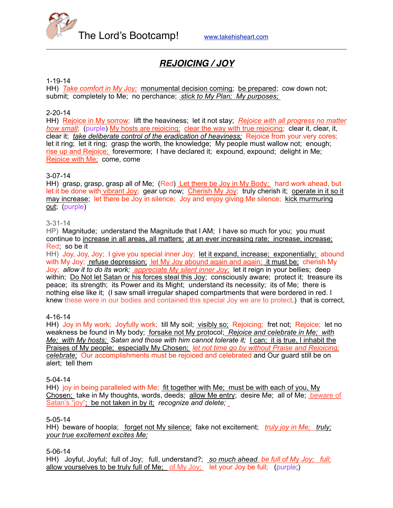

# *REJOICING / JOY*

#### 1-19-14

HH) *Take comfort in My Joy;* monumental decision coming; be prepared; cow down not; submit; completely to Me; no perchance; *stick to My Plan; My purposes;* 

#### 2-20-14

HH) Rejoice in My sorrow; lift the heaviness; let it not stay; *Rejoice with all progress no matter how small*; (purple) My hosts are rejoicing; clear the way with true rejoicing; clear it, clear, it, clear it; *take deliberate control of the eradication of heaviness;* Rejoice from your very cores; let it ring; let it ring; grasp the worth, the knowledge; My people must wallow not; enough; rise up and Rejoice; forevermore; I have declared it; expound, expound; delight in Me; Rejoice with Me; come, come

#### 3-07-14

HH) grasp, grasp, grasp all of Me; (Red) Let there be Joy in My Body; hard work ahead, but let it be done with vibrant Joy; gear up now; Cherish My Joy; truly cherish it; operate in it so it may increase; let there be Joy in silence; Joy and enjoy giving Me silence; kick murmuring out; (purple)

#### 3-31-14

HP) Magnitude; understand the Magnitude that I AM; I have so much for you; you must continue to increase in all areas, all matters; at an ever increasing rate; increase, increase; Red; so be it

HH) Joy, Joy, Joy; I give you special inner Joy; let it expand, increase; exponentially; abound with My Joy; refuse depression; let My Joy abound again and again; it must be; cherish My Joy; *allow it to do its work; appreciate My silent inner Joy;* let it reign in your bellies; deep within; Do Not let Satan or his forces steal this Joy; consciously aware; protect it; treasure its peace; its strength; its Power and its Might; understand its necessity; its of Me; there is nothing else like it; (I saw small irregular shaped compartments that were bordered in red. I knew these were in our bodies and contained this special Joy we are to protect.) that is correct,

#### 4-16-14

HH) Joy in My work; Joyfully work; till My soil; visibly so; Rejoicing; fret not; Rejoice; let no weakness be found in My body; forsake not My protocol; *Rejoice and celebrate in Me; with Me; with My hosts; Satan and those with him cannot tolerate it;* I can; it is true, I inhabit the Praises of My people; especially My Chosen; *let not time go by without Praise and Rejoicing; celebrate;* Our accomplishments must be rejoiced and celebrated and Our guard still be on alert; tell them

#### 5-04-14

HH) joy in being paralleled with Me; fit together with Me; must be with each of you, My Chosen; take in My thoughts, words, deeds; allow Me entry; desire Me; all of Me; beware of Satan's "joy"; be not taken in by it; *recognize and delete;*

#### 5-05-14

HH) beware of hoopla; forget not My silence; fake not excitement; *truly joy in Me; truly; your true excitement excites Me;*

#### 5-06-14

HH) Joyful, Joyful; full of Joy; full, understand?; *so much ahead, be full of My Joy; full;* allow yourselves to be truly full of Me; of My Joy; let your Joy be full; (purple;)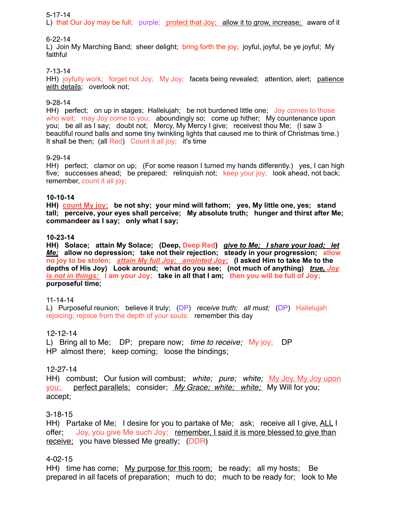#### 5-17-14

L) that Our Joy may be full; purple; protect that Joy; allow it to grow, increase; aware of it

#### 6-22-14

L) Join My Marching Band; sheer delight; bring forth the joy; joyful, joyful, be ye joyful; My faithful

#### 7-13-14

HH) joyfully work; forget not Joy; My Joy; facets being revealed; attention, alert; patience with details; overlook not;

#### 9-28-14

HH) perfect; on up in stages; Hallelujah; be not burdened little one; Joy comes to those who wait; may Joy come to you; aboundingly so; come up hither; My countenance upon you; be all as I say; doubt not; Mercy, My Mercy I give; receivest thou Me; (I saw 3 beautiful round balls and some tiny twinkling lights that caused me to think of Christmas time.) It shall be then; (all Red) Count it all joy; it's time

#### 9-29-14

HH) perfect; clamor on up; (For some reason I turned my hands differently.) yes, I can high five: successes ahead; be prepared; relinquish not; keep your joy; look ahead, not back; remember, count it all joy;

#### **10-10-14**

**HH) count My joy; be not shy; your mind will fathom; yes, My little one, yes; stand tall; perceive, your eyes shall perceive; My absolute truth; hunger and thirst after Me; commandeer as I say; only what I say;**

#### **10-23-14**

**HH) Solace; attain My Solace; (Deep, Deep Red)** *give to Me; I share your load; let Me;* **allow no depression; take not their rejection; steady in your progression; allow no joy to be stolen;** *attain My full Joy; anointed Joy;* **(I asked Him to take Me to the depths of His Joy) Look around; what do you see; (not much of anything)** *true, Joy is not in things;* **I am your Joy; take in all that I am; then you will be full of Joy; purposeful time;**

#### 11-14-14

L) Purposeful reunion; believe it truly; (DP) *receive truth; all must;* (DP) Hallelujah rejoicing; rejoice from the depth of your souls; remember this day

#### 12-12-14

L) Bring all to Me; DP; prepare now; *time to receive;* My joy; DP HP almost there; keep coming; loose the bindings;

#### 12-27-14

HH) combust; Our fusion will combust; *white; pure; white;* My Joy, My Joy upon you; perfect parallels; consider; *My Grace; white; white;* My Will for you; accept;

#### 3-18-15

HH) Partake of Me; I desire for you to partake of Me; ask; receive all I give, ALL I offer; Joy, you give Me such Joy; remember, I said it is more blessed to give than receive; you have blessed Me greatly; (DDR)

### 4-02-15

HH) time has come; My purpose for this room; be ready; all my hosts; Be prepared in all facets of preparation; much to do; much to be ready for; look to Me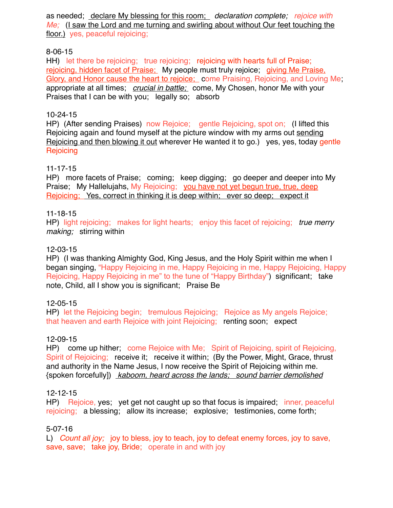as needed; declare My blessing for this room; *declaration complete; rejoice with Me:* (I saw the Lord and me turning and swirling about without Our feet touching the floor.) yes, peaceful rejoicing;

## 8-06-15

HH) let there be rejoicing; true rejoicing; rejoicing with hearts full of Praise; rejoicing, hidden facet of Praise; My people must truly rejoice; giving Me Praise, Glory, and Honor cause the heart to rejoice; come Praising, Rejoicing, and Loving Me; appropriate at all times; *crucial in battle;* come, My Chosen, honor Me with your Praises that I can be with you; legally so; absorb

## 10-24-15

HP) (After sending Praises) now Rejoice; gentle Rejoicing, spot on; (I lifted this Rejoicing again and found myself at the picture window with my arms out sending Rejoicing and then blowing it out wherever He wanted it to go.) yes, yes, today gentle **Rejoicing** 

## 11-17-15

HP) more facets of Praise; coming; keep digging; go deeper and deeper into My Praise; My Hallelujahs, My Rejoicing; you have not yet begun true, true, deep Rejoicing; Yes, correct in thinking it is deep within; ever so deep; expect it

## 11-18-15

HP) light rejoicing; makes for light hearts; enjoy this facet of rejoicing; *true merry making;* stirring within

## 12-03-15

HP) (I was thanking Almighty God, King Jesus, and the Holy Spirit within me when I began singing, "Happy Rejoicing in me, Happy Rejoicing in me, Happy Rejoicing, Happy Rejoicing, Happy Rejoicing in me" to the tune of "Happy Birthday") significant; take note, Child, all I show you is significant; Praise Be

## 12-05-15

HP) let the Rejoicing begin; tremulous Rejoicing; Rejoice as My angels Rejoice; that heaven and earth Rejoice with joint Rejoicing; renting soon; expect

## 12-09-15

HP) come up hither; come Rejoice with Me; Spirit of Rejoicing, spirit of Rejoicing, Spirit of Rejoicing; receive it; receive it within; (By the Power, Might, Grace, thrust and authority in the Name Jesus, I now receive the Spirit of Rejoicing within me. {spoken forcefully]) *kaboom, heard across the lands; sound barrier demolished*

## 12-12-15

HP) Rejoice, yes; yet get not caught up so that focus is impaired; inner, peaceful rejoicing; a blessing; allow its increase; explosive; testimonies, come forth;

## 5-07-16

L) *Count all joy;* joy to bless, joy to teach, joy to defeat enemy forces, joy to save, save, save; take joy, Bride; operate in and with joy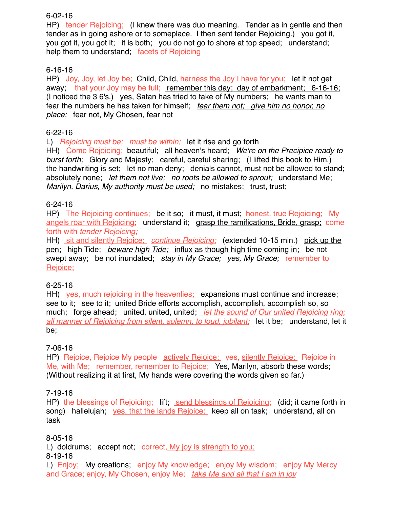## 6-02-16

HP) tender Rejoicing; (I knew there was duo meaning. Tender as in gentle and then tender as in going ashore or to someplace. I then sent tender Rejoicing.) you got it, you got it, you got it; it is both; you do not go to shore at top speed; understand; help them to understand; facets of Rejoicing

## 6-16-16

HP) Joy, Joy, let Joy be; Child, Child, harness the Joy I have for you; let it not get away; that your Joy may be full; remember this day; day of embarkment; 6-16-16; (I noticed the 3 6's.) yes, Satan has tried to take of My numbers; he wants man to fear the numbers he has taken for himself; *fear them not; give him no honor, no place;* fear not, My Chosen, fear not

## 6-22-16

L) *Rejoicing must be; must be within;* let it rise and go forth

HH) Come Rejoicing; beautiful; all heaven's heard; *We're on the Precipice ready to burst forth;* Glory and Majesty; careful, careful sharing; (I lifted this book to Him.) the handwriting is set; let no man deny; denials cannot, must not be allowed to stand; absolutely none; *let them not live; no roots be allowed to sprout;* understand Me; *Marilyn, Darius, My authority must be used;* no mistakes; trust, trust;

## 6-24-16

HP) The Rejoicing continues; be it so; it must, it must; honest, true Rejoicing; My angels roar with Rejoicing; understand it; grasp the ramifications, Bride, grasp; come forth with *tender Rejoicing;* 

HH) sit and silently Rejoice; *continue Rejoicing;* (extended 10-15 min.) pick up the pen; high Tide; *beware high Tide;* influx as though high time coming in; be not swept away; be not inundated; *stay in My Grace; yes, My Grace;* remember to Rejoice;

## 6-25-16

HH) yes, much rejoicing in the heavenlies; expansions must continue and increase; see to it; see to it; united Bride efforts accomplish, accomplish, accomplish so, so much; forge ahead; united, united, united; *let the sound of Our united Rejoicing ring; all manner of Rejoicing from silent, solemn, to loud, jubilant;* let it be; understand, let it be;

## 7-06-16

HP) Rejoice, Rejoice My people actively Rejoice; yes, silently Rejoice; Rejoice in Me, with Me; remember, remember to Rejoice; Yes, Marilyn, absorb these words; (Without realizing it at first, My hands were covering the words given so far.)

## 7-19-16

HP) the blessings of Rejoicing; lift; send blessings of Rejoicing; (did; it came forth in song) hallelujah; yes, that the lands Rejoice; keep all on task; understand, all on task

8-05-16

L) doldrums; accept not; correct, My joy is strength to you; 8-19-16

L) Enjoy; My creations; enjoy My knowledge; enjoy My wisdom; enjoy My Mercy and Grace; enjoy, My Chosen, enjoy Me; *take Me and all that I am in joy*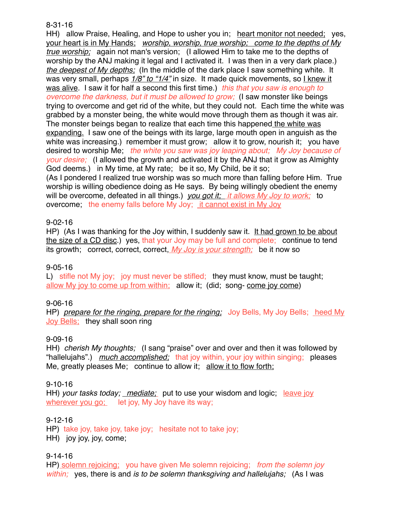#### 8-31-16

HH) allow Praise, Healing, and Hope to usher you in; heart monitor not needed; yes, your heart is in My Hands; *worship, worship, true worship; come to the depths of My true worship;* again not man's version; (I allowed Him to take me to the depths of worship by the ANJ making it legal and I activated it. I was then in a very dark place.) *the deepest of My depths;* (In the middle of the dark place I saw something white. It was very small, perhaps *1/8" to "1/4"* in size. It made quick movements, so I knew it was alive. I saw it for half a second this first time.) *this that you saw is enough to overcome the darkness, but it must be allowed to grow;* (I saw monster like beings trying to overcome and get rid of the white, but they could not. Each time the white was grabbed by a monster being, the white would move through them as though it was air. The monster beings began to realize that each time this happened the white was expanding. I saw one of the beings with its large, large mouth open in anguish as the white was increasing.) remember it must grow; allow it to grow, nourish it; you have desired to worship Me; *the white you saw was joy leaping about; My Joy because of your desire;* (I allowed the growth and activated it by the ANJ that it grow as Almighty God deems.) in My time, at My rate; be it so, My Child, be it so; (As I pondered I realized true worship was so much more than falling before Him. True worship is willing obedience doing as He says. By being willingly obedient the enemy will be overcome, defeated in all things.) *you got it; it allows My Joy to work;* to overcome; the enemy falls before My Joy; it cannot exist in My Joy

### 9-02-16

HP) (As I was thanking for the Joy within, I suddenly saw it. It had grown to be about the size of a CD disc.) yes, that your Joy may be full and complete; continue to tend its growth; correct, correct, correct, *My Joy is your strength;* be it now so

### 9-05-16

L) stifle not My joy; joy must never be stifled; they must know, must be taught; allow My joy to come up from within; allow it; (did; song- come joy come)

### 9-06-16

HP) *prepare for the ringing, prepare for the ringing;* Joy Bells, My Joy Bells; heed My Joy Bells; they shall soon ring

### 9-09-16

HH) *cherish My thoughts;* (I sang "praise" over and over and then it was followed by "hallelujahs".) *much accomplished;* that joy within, your joy within singing; pleases Me, greatly pleases Me; continue to allow it; allow it to flow forth;

### 9-10-16

HH) *your tasks today; mediate;* put to use your wisdom and logic; leave joy wherever you go; let joy, My Joy have its way;

## 9-12-16

HP) take joy, take joy, take joy; hesitate not to take joy;

HH) joy joy, joy, come;

### 9-14-16

HP) solemn rejoicing; you have given Me solemn rejoicing; *from the solemn joy within;* yes, there is and *is to be solemn thanksgiving and hallelujahs;* (As I was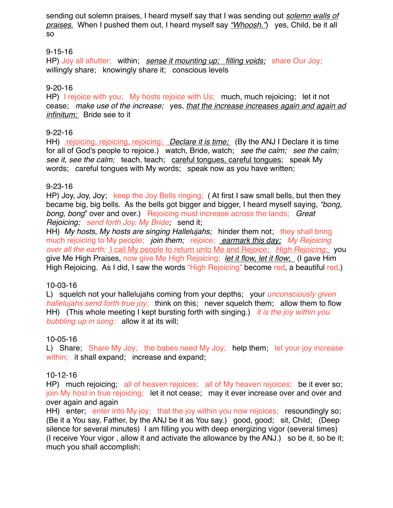sending out solemn praises, I heard myself say that I was sending out *solemn walls of praises.* When I pushed them out, I heard myself say *"Whoosh."*) yes, Child, be it all so

## 9-15-16

HP) Joy all aflutter; within; *sense it mounting up; filling voids;* share Our Joy; willingly share; knowingly share it; conscious levels

## 9-20-16

HP) I rejoice with you; My hosts rejoice with Us; much, much rejoicing; let it not cease; *make use of the increase;* yes, *that the increase increases again and again ad infinitum;* Bride see to it

## 9-22-16

HH) rejoicing, rejoicing, rejoicing; *Declare it is time;* (By the ANJ I Declare it is time for all of God's people to rejoice.) watch, Bride, watch; *see the calm; see the calm; see it, see the calm;* teach, teach; careful tongues, careful tongues; speak My words; careful tongues with My words; speak now as you have written;

## 9-23-16

HP) Joy, Joy, Joy; keep the Joy Bells ringing; ( At first I saw small bells, but then they became big, big bells. As the bells got bigger and bigger, I heard myself saying, *"bong, bong, bong*" over and over.) Rejoicing must increase across the lands; *Great Rejoicing; send forth Joy, My Bride;* send it;

HH) *My hosts, My hosts are singing Hallelujahs;* hinder them not; they shall bring much rejoicing to My people; *join them;* rejoice; *earmark this day; My Rejoicing over all the earth;* I call My people to return unto Me and Rejoice; *High Rejoicing;* you give Me High Praises, now give Me High Rejoicing; *let it flow, let it flow*; (I gave Him High Rejoicing. As I did, I saw the words "High Rejoicing" become red, a beautiful red.)

### 10-03-16

L) squelch not your hallelujahs coming from your depths; your *unconsciously given hallelujahs send forth true joy;* think on this; never squelch them; allow them to flow HH) (This whole meeting I kept bursting forth with singing.) *it is the joy within you bubbling up in song;* allow it at its will;

## 10-05-16

L) Share; Share My Joy; the babes need My Joy; help them; let your joy increase within; it shall expand; increase and expand;

### 10-12-16

HP) much rejoicing; all of heaven rejoices; all of My heaven rejoices; be it ever so; join My host in true rejoicing; let it not cease; may it ever increase over and over and over again and again

HH) enter; enter into My joy; that the joy within you now rejoices; resoundingly so; (Be it a You say, Father, by the ANJ be it as You say.) good, good; sit, Child; (Deep silence for several minutes) I am filling you with deep energizing vigor (several times) (I receive Your vigor , allow it and activate the allowance by the ANJ.) so be it, so be it; much you shall accomplish;